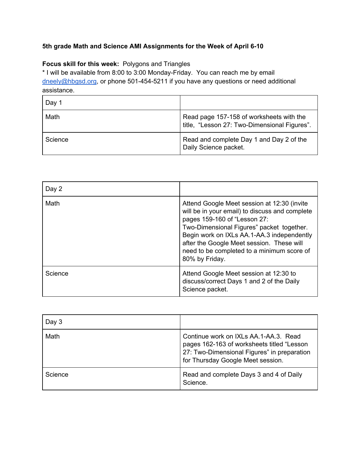## **5th grade Math and Science AMI Assignments for the Week of April 6-10**

## **Focus skill for this week:** Polygons and Triangles

\* I will be available from 8:00 to 3:00 Monday-Friday. You can reach me by email [dneely@hbgsd.org](mailto:dneely@hbgsd.org), or phone 501-454-5211 if you have any questions or need additional assistance.

| Day 1   |                                                                                          |
|---------|------------------------------------------------------------------------------------------|
| Math    | Read page 157-158 of worksheets with the<br>title, "Lesson 27: Two-Dimensional Figures". |
| Science | Read and complete Day 1 and Day 2 of the<br>Daily Science packet.                        |

| Day 2   |                                                                                                                                                                                                                                                                                                                                       |
|---------|---------------------------------------------------------------------------------------------------------------------------------------------------------------------------------------------------------------------------------------------------------------------------------------------------------------------------------------|
| Math    | Attend Google Meet session at 12:30 (invite<br>will be in your email) to discuss and complete<br>pages 159-160 of "Lesson 27:<br>Two-Dimensional Figures" packet together.<br>Begin work on IXLs AA.1-AA.3 independently<br>after the Google Meet session. These will<br>need to be completed to a minimum score of<br>80% by Friday. |
| Science | Attend Google Meet session at 12:30 to<br>discuss/correct Days 1 and 2 of the Daily<br>Science packet.                                                                                                                                                                                                                                |

| Day 3   |                                                                                                                                                                         |
|---------|-------------------------------------------------------------------------------------------------------------------------------------------------------------------------|
| Math    | Continue work on IXLs AA.1-AA.3. Read<br>pages 162-163 of worksheets titled "Lesson<br>27: Two-Dimensional Figures" in preparation<br>for Thursday Google Meet session. |
| Science | Read and complete Days 3 and 4 of Daily<br>Science.                                                                                                                     |